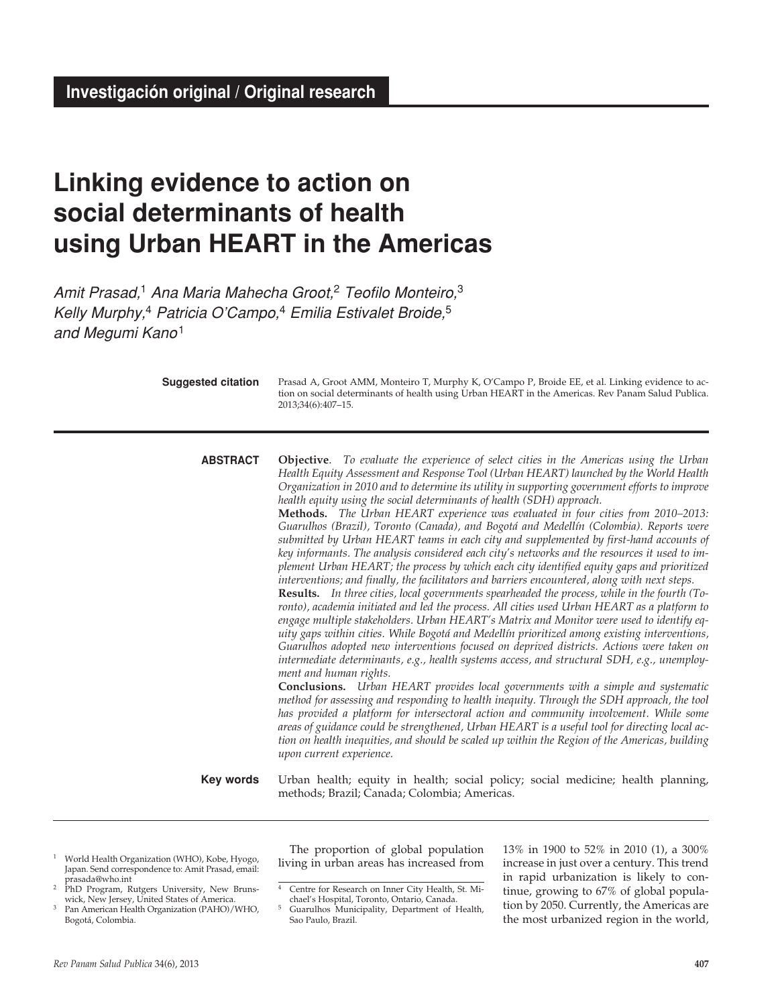**Investigación original / Original research**

# **Linking evidence to action on social determinants of health using Urban HEART in the Americas**

*Amit Prasad,*1 *Ana Maria Mahecha Groot,*2 *Teofilo Monteiro,*<sup>3</sup> *Kelly Murphy,*4 *Patricia O'Campo,*4 *Emilia Estivalet Broide,*<sup>5</sup> *and Megumi Kano*<sup>1</sup>

> **Objective**. *To evaluate the experience of select cities in the Americas using the Urban Health Equity Assessment and Response Tool (Urban HEART) launched by the World Health Organization in 2010 and to determine its utility in supporting government efforts to improve health equity using the social determinants of health (SDH) approach.*  **Methods.** *The Urban HEART experience was evaluated in four cities from 2010–2013: Guarulhos (Brazil), Toronto (Canada), and Bogotá and Medellín (Colombia). Reports were submitted by Urban HEART teams in each city and supplemented by first-hand accounts of key informants. The analysis considered each city's networks and the resources it used to implement Urban HEART; the process by which each city identified equity gaps and prioritized interventions; and finally, the facilitators and barriers encountered, along with next steps.* **Results.** *In three cities, local governments spearheaded the process, while in the fourth (Toronto), academia initiated and led the process. All cities used Urban HEART as a platform to engage multiple stakeholders. Urban HEART's Matrix and Monitor were used to identify equity gaps within cities. While Bogotá and Medellín prioritized among existing interventions, Guarulhos adopted new interventions focused on deprived districts. Actions were taken on intermediate determinants, e.g., health systems access, and structural SDH, e.g., unemployment and human rights.* **Conclusions.** *Urban HEART provides local governments with a simple and systematic method for assessing and responding to health inequity. Through the SDH approach, the tool has provided a platform for intersectoral action and community involvement. While some areas of guidance could be strengthened, Urban HEART is a useful tool for directing local action on health inequities, and should be scaled up within the Region of the Americas, building upon current experience.* Urban health; equity in health; social policy; social medicine; health planning, methods; Brazil; Canada; Colombia; Americas. **abstract Key words** Prasad A, Groot AMM, Monteiro T, Murphy K, O'Campo P, Broide EE, et al. Linking evidence to action on social determinants of health using Urban HEART in the Americas. Rev Panam Salud Publica. 2013;34(6):407–15. **Suggested citation**

- 1 World Health Organization (WHO), Kobe, Hyogo, Japan. Send correspondence to: Amit Prasad, email: prasada@who.int
- PhD Program, Rutgers University, New Brunswick, New Jersey, United States of America.
- Pan American Health Organization (PAHO)/WHO, Bogotá, Colombia.

The proportion of global population living in urban areas has increased from 13% in 1900 to 52% in 2010 (1), a 300% increase in just over a century. This trend in rapid urbanization is likely to continue, growing to 67% of global population by 2050. Currently, the Americas are the most urbanized region in the world,

<sup>4</sup> Centre for Research on Inner City Health, St. Michael's Hospital, Toronto, Ontario, Canada.

<sup>5</sup> Guarulhos Municipality, Department of Health, Sao Paulo, Brazil.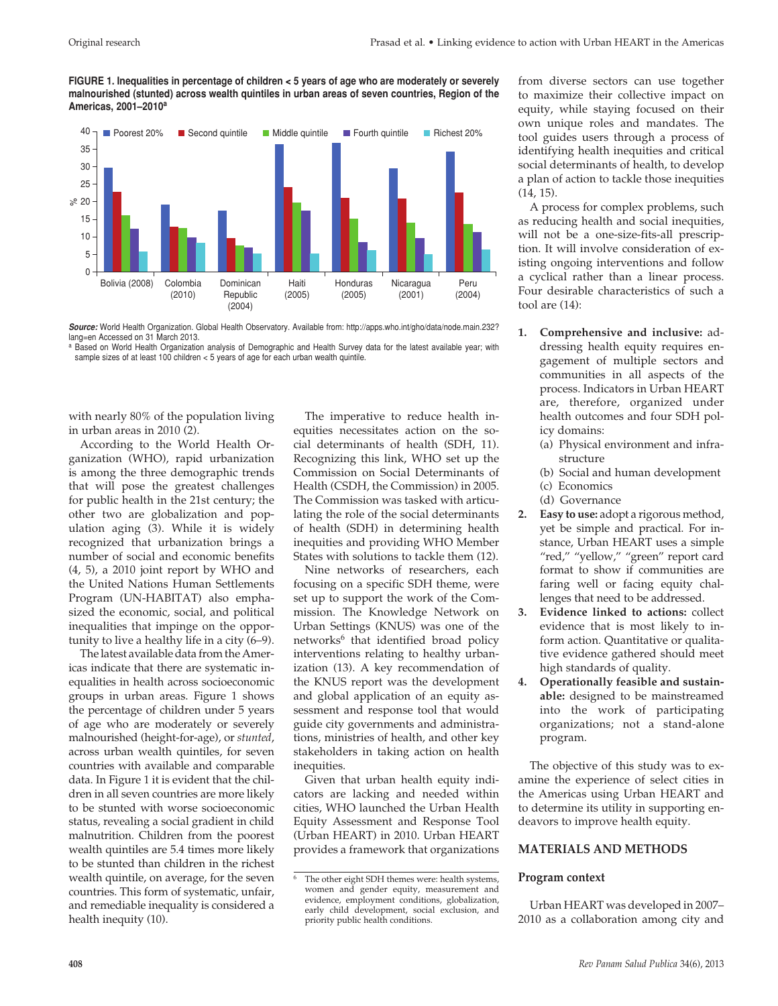**FIGURE 1. Inequalities in percentage of children < 5 years of age who are moderately or severely malnourished (stunted) across wealth quintiles in urban areas of seven countries, Region of the Americas, 2001–2010a**



*Source:* World Health Organization. Global Health Observatory. Available from: http://apps.who.int/gho/data/node.main.232? lang=en Accessed on 31 March 2013.

a Based on World Health Organization analysis of Demographic and Health Survey data for the latest available year; with sample sizes of at least 100 children < 5 years of age for each urban wealth quintile.

with nearly 80% of the population living in urban areas in 2010 (2).

According to the World Health Organization (WHO), rapid urbanization is among the three demographic trends that will pose the greatest challenges for public health in the 21st century; the other two are globalization and population aging (3). While it is widely recognized that urbanization brings a number of social and economic benefits (4, 5), a 2010 joint report by WHO and the United Nations Human Settlements Program (UN-HABITAT) also emphasized the economic, social, and political inequalities that impinge on the opportunity to live a healthy life in a city (6–9).

The latest available data from the Americas indicate that there are systematic inequalities in health across socioeconomic groups in urban areas. Figure 1 shows the percentage of children under 5 years of age who are moderately or severely malnourished (height-for-age), or *stunted*, across urban wealth quintiles, for seven countries with available and comparable data. In Figure 1 it is evident that the children in all seven countries are more likely to be stunted with worse socioeconomic status, revealing a social gradient in child malnutrition. Children from the poorest wealth quintiles are 5.4 times more likely to be stunted than children in the richest wealth quintile, on average, for the seven countries. This form of systematic, unfair, and remediable inequality is considered a health inequity (10).

The imperative to reduce health inequities necessitates action on the social determinants of health (SDH, 11). Recognizing this link, WHO set up the Commission on Social Determinants of Health (CSDH, the Commission) in 2005. The Commission was tasked with articulating the role of the social determinants of health (SDH) in determining health inequities and providing WHO Member States with solutions to tackle them (12).

Nine networks of researchers, each focusing on a specific SDH theme, were set up to support the work of the Commission. The Knowledge Network on Urban Settings (KNUS) was one of the networks<sup>6</sup> that identified broad policy interventions relating to healthy urbanization (13). A key recommendation of the KNUS report was the development and global application of an equity assessment and response tool that would guide city governments and administrations, ministries of health, and other key stakeholders in taking action on health inequities.

Given that urban health equity indicators are lacking and needed within cities, WHO launched the Urban Health Equity Assessment and Response Tool (Urban HEART) in 2010. Urban HEART provides a framework that organizations from diverse sectors can use together to maximize their collective impact on equity, while staying focused on their own unique roles and mandates. The tool guides users through a process of identifying health inequities and critical social determinants of health, to develop a plan of action to tackle those inequities (14, 15).

A process for complex problems, such as reducing health and social inequities, will not be a one-size-fits-all prescription. It will involve consideration of existing ongoing interventions and follow a cyclical rather than a linear process. Four desirable characteristics of such a tool are (14):

- **1. Comprehensive and inclusive:** addressing health equity requires engagement of multiple sectors and communities in all aspects of the process. Indicators in Urban HEART are, therefore, organized under health outcomes and four SDH policy domains:
	- (a) Physical environment and infrastructure
	- (b) Social and human development
	- (c) Economics
	- (d) Governance
- **2. Easy to use:** adopt a rigorous method, yet be simple and practical. For instance, Urban HEART uses a simple "red," "yellow," "green" report card format to show if communities are faring well or facing equity challenges that need to be addressed.
- **3. Evidence linked to actions:** collect evidence that is most likely to inform action. Quantitative or qualitative evidence gathered should meet high standards of quality.
- **4. Operationally feasible and sustainable:** designed to be mainstreamed into the work of participating organizations; not a stand-alone program.

The objective of this study was to examine the experience of select cities in the Americas using Urban HEART and to determine its utility in supporting endeavors to improve health equity.

## **MATERIALS AND METHODS**

#### **Program context**

Urban HEART was developed in 2007– 2010 as a collaboration among city and

The other eight SDH themes were: health systems, women and gender equity, measurement and evidence, employment conditions, globalization, early child development, social exclusion, and priority public health conditions.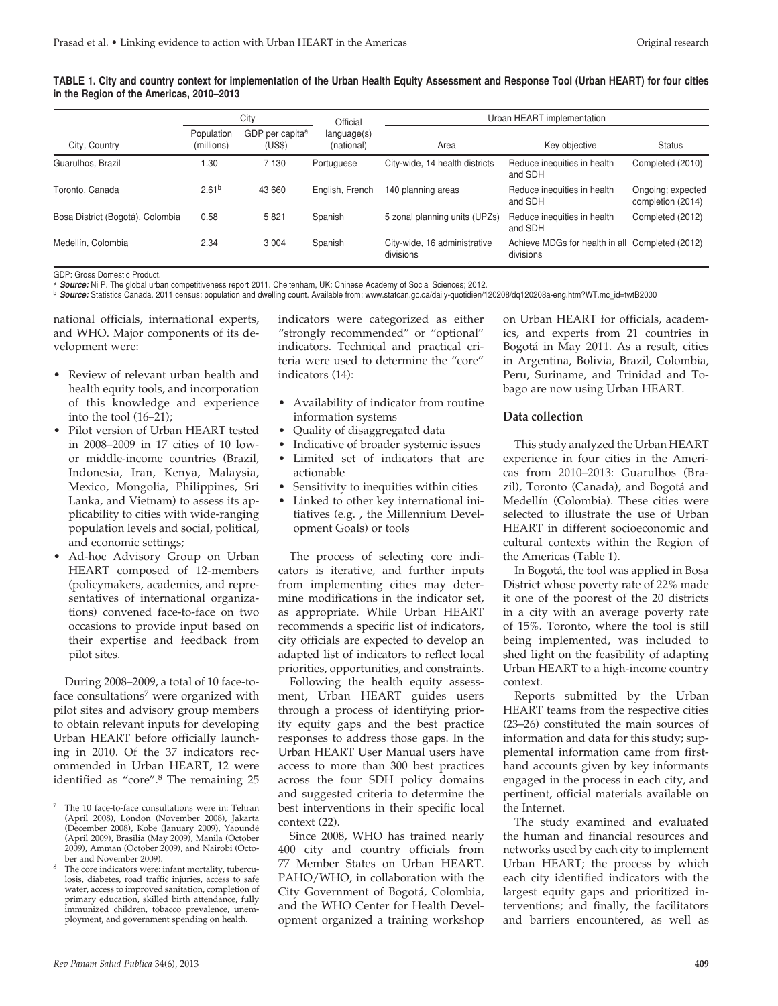#### **TABLE 1. City and country context for implementation of the Urban Health Equity Assessment and Response Tool (Urban HEART) for four cities in the Region of the Americas, 2010–2013**

|                                  | City                     |                                       | Official                  | Urban HEART implementation                |                                                              |                                        |  |
|----------------------------------|--------------------------|---------------------------------------|---------------------------|-------------------------------------------|--------------------------------------------------------------|----------------------------------------|--|
| City, Country                    | Population<br>(millions) | GDP per capita <sup>a</sup><br>(US\$) | language(s)<br>(national) | Area                                      | Key objective                                                | <b>Status</b>                          |  |
| Guarulhos, Brazil                | .30                      | 7 1 3 0                               | Portuguese                | City-wide, 14 health districts            | Reduce inequities in health<br>and SDH                       | Completed (2010)                       |  |
| Toronto, Canada                  | 2.61 <sup>b</sup>        | 43 660                                | English, French           | 140 planning areas                        | Reduce inequities in health<br>and SDH                       | Ongoing; expected<br>completion (2014) |  |
| Bosa District (Bogotá), Colombia | 0.58                     | 5821                                  | Spanish                   | 5 zonal planning units (UPZs)             | Reduce inequities in health<br>and SDH                       | Completed (2012)                       |  |
| Medellín, Colombia               | 2.34                     | 3 0 0 4                               | Spanish                   | City-wide, 16 administrative<br>divisions | Achieve MDGs for health in all Completed (2012)<br>divisions |                                        |  |

GDP: Gross Domestic Product.

a **Source:** Ni P. The global urban competitiveness report 2011. Cheltenham, UK: Chinese Academy of Social Sciences; 2012.

<sup>b</sup> *Source:* Statistics Canada. 2011 census: population and dwelling count. Available from: www.statcan.gc.ca/daily-quotidien/120208/dq120208a-eng.htm?WT.mc\_id=twtB2000

national officials, international experts, and WHO. Major components of its development were:

- • Review of relevant urban health and health equity tools, and incorporation of this knowledge and experience into the tool (16–21);
- • Pilot version of Urban HEART tested in 2008–2009 in 17 cities of 10 lowor middle-income countries (Brazil, Indonesia, Iran, Kenya, Malaysia, Mexico, Mongolia, Philippines, Sri Lanka, and Vietnam) to assess its applicability to cities with wide-ranging population levels and social, political, and economic settings;
- Ad-hoc Advisory Group on Urban HEART composed of 12-members (policymakers, academics, and representatives of international organizations) convened face-to-face on two occasions to provide input based on their expertise and feedback from pilot sites.

During 2008–2009, a total of 10 face-toface consultations<sup>7</sup> were organized with pilot sites and advisory group members to obtain relevant inputs for developing Urban HEART before officially launching in 2010. Of the 37 indicators recommended in Urban HEART, 12 were identified as "core".8 The remaining 25

indicators were categorized as either "strongly recommended" or "optional" indicators. Technical and practical criteria were used to determine the "core" indicators (14):

- • Availability of indicator from routine information systems
- • Quality of disaggregated data
- Indicative of broader systemic issues
- • Limited set of indicators that are actionable
- Sensitivity to inequities within cities
- • Linked to other key international initiatives (e.g. , the Millennium Development Goals) or tools

The process of selecting core indicators is iterative, and further inputs from implementing cities may determine modifications in the indicator set, as appropriate. While Urban HEART recommends a specific list of indicators, city officials are expected to develop an adapted list of indicators to reflect local priorities, opportunities, and constraints.

Following the health equity assessment, Urban HEART guides users through a process of identifying priority equity gaps and the best practice responses to address those gaps. In the Urban HEART User Manual users have access to more than 300 best practices across the four SDH policy domains and suggested criteria to determine the best interventions in their specific local context (22).

Since 2008, WHO has trained nearly 400 city and country officials from 77 Member States on Urban HEART. PAHO/WHO, in collaboration with the City Government of Bogotá, Colombia, and the WHO Center for Health Development organized a training workshop

on Urban HEART for officials, academics, and experts from 21 countries in Bogotá in May 2011. As a result, cities in Argentina, Bolivia, Brazil, Colombia, Peru, Suriname, and Trinidad and Tobago are now using Urban HEART.

#### **Data collection**

This study analyzed the Urban HEART experience in four cities in the Americas from 2010–2013: Guarulhos (Brazil), Toronto (Canada), and Bogotá and Medellín (Colombia). These cities were selected to illustrate the use of Urban HEART in different socioeconomic and cultural contexts within the Region of the Americas (Table 1).

In Bogotá, the tool was applied in Bosa District whose poverty rate of 22% made it one of the poorest of the 20 districts in a city with an average poverty rate of 15%. Toronto, where the tool is still being implemented, was included to shed light on the feasibility of adapting Urban HEART to a high-income country context.

Reports submitted by the Urban HEART teams from the respective cities (23–26) constituted the main sources of information and data for this study; supplemental information came from firsthand accounts given by key informants engaged in the process in each city, and pertinent, official materials available on the Internet.

The study examined and evaluated the human and financial resources and networks used by each city to implement Urban HEART; the process by which each city identified indicators with the largest equity gaps and prioritized interventions; and finally, the facilitators and barriers encountered, as well as

<sup>7</sup> The 10 face-to-face consultations were in: Tehran (April 2008), London (November 2008), Jakarta (December 2008), Kobe (January 2009), Yaoundé (April 2009), Brasilia (May 2009), Manila (October 2009), Amman (October 2009), and Nairobi (October and November 2009).

The core indicators were: infant mortality, tuberculosis, diabetes, road traffic injuries, access to safe water, access to improved sanitation, completion of primary education, skilled birth attendance, fully immunized children, tobacco prevalence, unemployment, and government spending on health.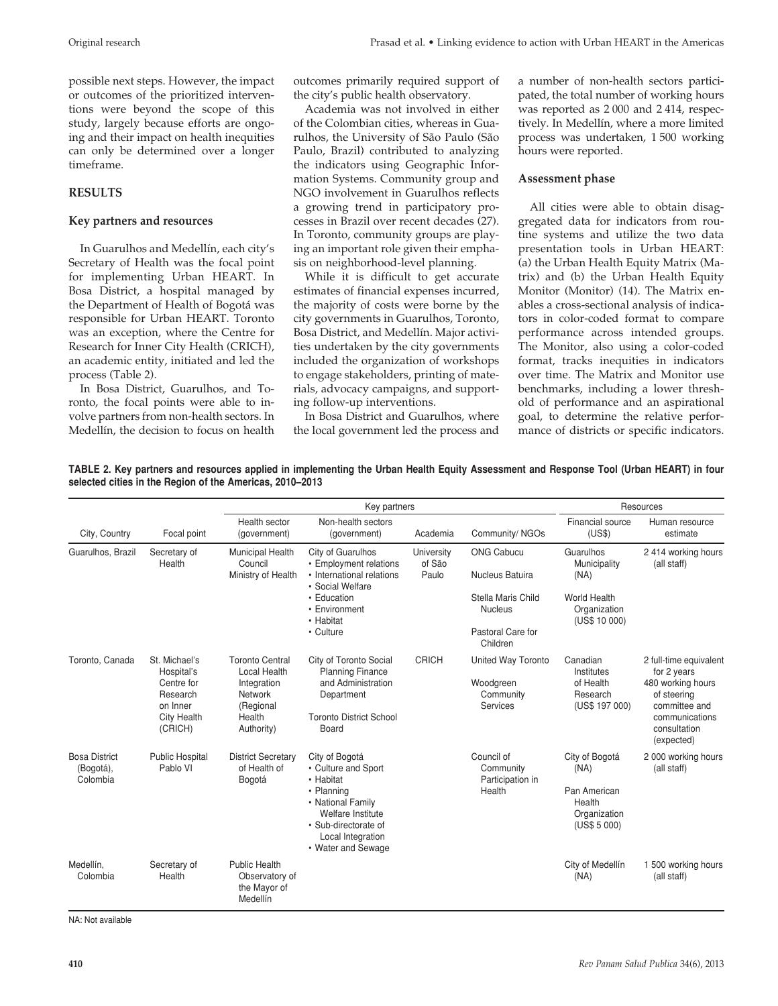possible next steps. However, the impact or outcomes of the prioritized interventions were beyond the scope of this study, largely because efforts are ongoing and their impact on health inequities can only be determined over a longer timeframe.

#### **RESULTS**

#### **Key partners and resources**

In Guarulhos and Medellín, each city's Secretary of Health was the focal point for implementing Urban HEART. In Bosa District, a hospital managed by the Department of Health of Bogotá was responsible for Urban HEART. Toronto was an exception, where the Centre for Research for Inner City Health (CRICH), an academic entity, initiated and led the process (Table 2).

In Bosa District, Guarulhos, and Toronto, the focal points were able to involve partners from non-health sectors. In Medellín, the decision to focus on health

outcomes primarily required support of the city's public health observatory.

Academia was not involved in either of the Colombian cities, whereas in Guarulhos, the University of São Paulo (São Paulo, Brazil) contributed to analyzing the indicators using Geographic Information Systems. Community group and NGO involvement in Guarulhos reflects a growing trend in participatory processes in Brazil over recent decades (27). In Toronto, community groups are playing an important role given their emphasis on neighborhood-level planning.

While it is difficult to get accurate estimates of financial expenses incurred, the majority of costs were borne by the city governments in Guarulhos, Toronto, Bosa District, and Medellín. Major activities undertaken by the city governments included the organization of workshops to engage stakeholders, printing of materials, advocacy campaigns, and supporting follow-up interventions.

In Bosa District and Guarulhos, where the local government led the process and a number of non-health sectors participated, the total number of working hours was reported as 2 000 and 2 414, respectively. In Medellín, where a more limited process was undertaken, 1 500 working hours were reported.

#### **Assessment phase**

All cities were able to obtain disaggregated data for indicators from routine systems and utilize the two data presentation tools in Urban HEART: (a) the Urban Health Equity Matrix (Matrix) and (b) the Urban Health Equity Monitor (Monitor) (14). The Matrix enables a cross-sectional analysis of indicators in color-coded format to compare performance across intended groups. The Monitor, also using a color-coded format, tracks inequities in indicators over time. The Matrix and Monitor use benchmarks, including a lower threshold of performance and an aspirational goal, to determine the relative performance of districts or specific indicators.

**TABLE 2. Key partners and resources applied in implementing the Urban Health Equity Assessment and Response Tool (Urban HEART) in four selected cities in the Region of the Americas, 2010–2013**

|                                               |                                                                                                    |                                                                                                                     | Key partners                                                                                                                                                                  | Resources                     |                                                          |                                                                                  |                                                                                                                                            |
|-----------------------------------------------|----------------------------------------------------------------------------------------------------|---------------------------------------------------------------------------------------------------------------------|-------------------------------------------------------------------------------------------------------------------------------------------------------------------------------|-------------------------------|----------------------------------------------------------|----------------------------------------------------------------------------------|--------------------------------------------------------------------------------------------------------------------------------------------|
| City, Country                                 | Focal point                                                                                        | Health sector<br>(government)                                                                                       | Non-health sectors<br>(government)                                                                                                                                            | Academia                      | Community/ NGOs                                          | Financial source<br>(US\$)                                                       | Human resource<br>estimate                                                                                                                 |
| Guarulhos, Brazil                             | Secretary of<br>Health                                                                             | <b>Municipal Health</b><br>Council<br>Ministry of Health                                                            | City of Guarulhos<br>• Employment relations<br>• International relations<br>• Social Welfare                                                                                  | University<br>of São<br>Paulo | <b>ONG Cabucu</b><br>Nucleus Batuira                     | Guarulhos<br>Municipality<br>(NA)                                                | 2414 working hours<br>(all staff)                                                                                                          |
|                                               |                                                                                                    |                                                                                                                     | • Education<br>• Environment<br>• Habitat                                                                                                                                     |                               | Stella Maris Child<br><b>Nucleus</b>                     | <b>World Health</b><br>Organization<br>(US\$ 10 000)                             |                                                                                                                                            |
|                                               |                                                                                                    |                                                                                                                     | • Culture                                                                                                                                                                     |                               | Pastoral Care for<br>Children                            |                                                                                  |                                                                                                                                            |
| Toronto, Canada                               | St. Michael's<br>Hospital's<br>Centre for<br>Research<br>on Inner<br><b>City Health</b><br>(CRICH) | <b>Toronto Central</b><br><b>Local Health</b><br>Integration<br><b>Network</b><br>(Regional<br>Health<br>Authority) | City of Toronto Social<br><b>Planning Finance</b><br>and Administration<br>Department<br><b>Toronto District School</b><br>Board                                              | <b>CRICH</b>                  | United Way Toronto<br>Woodgreen<br>Community<br>Services | Canadian<br>Institutes<br>of Health<br>Research<br>(US\$ 197 000)                | 2 full-time equivalent<br>for 2 years<br>480 working hours<br>of steering<br>committee and<br>communications<br>consultation<br>(expected) |
| <b>Bosa District</b><br>(Bogotá),<br>Colombia | <b>Public Hospital</b><br>Pablo VI                                                                 | <b>District Secretary</b><br>of Health of<br>Bogotá                                                                 | City of Bogotá<br>• Culture and Sport<br>• Habitat<br>• Planning<br>• National Family<br>Welfare Institute<br>· Sub-directorate of<br>Local Integration<br>• Water and Sewage |                               | Council of<br>Community<br>Participation in<br>Health    | City of Bogotá<br>(NA)<br>Pan American<br>Health<br>Organization<br>(US\$ 5 000) | 2 000 working hours<br>(all staff)                                                                                                         |
| Medellín,<br>Colombia                         | Secretary of<br>Health                                                                             | <b>Public Health</b><br>Observatory of<br>the Mayor of<br>Medellín                                                  |                                                                                                                                                                               |                               |                                                          | City of Medellín<br>(NA)                                                         | 1 500 working hours<br>(all staff)                                                                                                         |

NA: Not available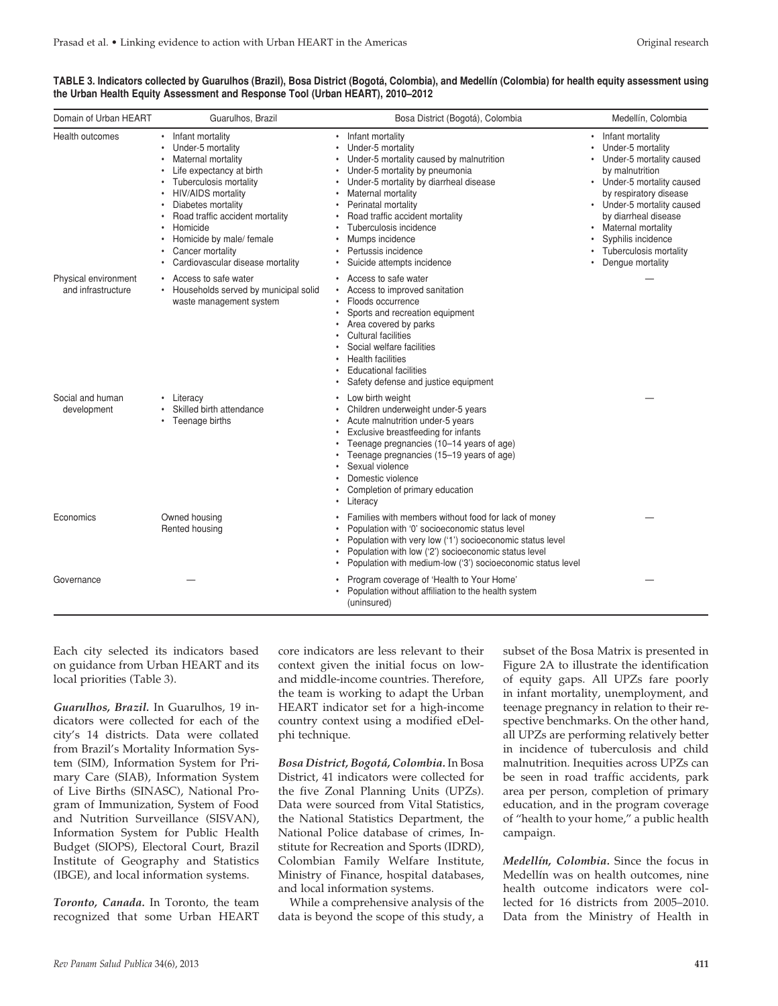#### **TABLE 3. Indicators collected by Guarulhos (Brazil), Bosa District (Bogotá, Colombia), and Medellín (Colombia) for health equity assessment using the Urban Health Equity Assessment and Response Tool (Urban HEART), 2010–2012**

| Domain of Urban HEART                      | Guarulhos, Brazil                                                                                                                                                                                                                                                                                          | Bosa District (Bogotá), Colombia                                                                                                                                                                                                                                                                                                                                            | Medellín, Colombia                                                                                                                                                                                                                                                                                                     |
|--------------------------------------------|------------------------------------------------------------------------------------------------------------------------------------------------------------------------------------------------------------------------------------------------------------------------------------------------------------|-----------------------------------------------------------------------------------------------------------------------------------------------------------------------------------------------------------------------------------------------------------------------------------------------------------------------------------------------------------------------------|------------------------------------------------------------------------------------------------------------------------------------------------------------------------------------------------------------------------------------------------------------------------------------------------------------------------|
| Health outcomes                            | Infant mortality<br>٠<br>Under-5 mortality<br>۰<br>Maternal mortality<br>Life expectancy at birth<br>Tuberculosis mortality<br>HIV/AIDS mortality<br>Diabetes mortality<br>Road traffic accident mortality<br>Homicide<br>Homicide by male/ female<br>Cancer mortality<br>Cardiovascular disease mortality | Infant mortality<br>٠<br>Under-5 mortality<br>٠<br>Under-5 mortality caused by malnutrition<br>٠<br>Under-5 mortality by pneumonia<br>Under-5 mortality by diarrheal disease<br>Maternal mortality<br>$\bullet$<br>Perinatal mortality<br>Road traffic accident mortality<br>Tuberculosis incidence<br>Mumps incidence<br>Pertussis incidence<br>Suicide attempts incidence | Infant mortality<br>$\bullet$<br>Under-5 mortality<br>$\bullet$<br>Under-5 mortality caused<br>by malnutrition<br>• Under-5 mortality caused<br>by respiratory disease<br>• Under-5 mortality caused<br>by diarrheal disease<br>Maternal mortality<br>Syphilis incidence<br>Tuberculosis mortality<br>Dengue mortality |
| Physical environment<br>and infrastructure | Access to safe water<br>Households served by municipal solid<br>waste management system                                                                                                                                                                                                                    | Access to safe water<br>٠<br>Access to improved sanitation<br>Floods occurrence<br>٠<br>Sports and recreation equipment<br>Area covered by parks<br><b>Cultural facilities</b><br>Social welfare facilities<br><b>Health facilities</b><br><b>Educational facilities</b><br>Safety defense and justice equipment                                                            |                                                                                                                                                                                                                                                                                                                        |
| Social and human<br>development            | Literacy<br>Skilled birth attendance<br>Teenage births                                                                                                                                                                                                                                                     | Low birth weight<br>Children underweight under-5 years<br>Acute malnutrition under-5 years<br>٠<br>Exclusive breastfeeding for infants<br>Teenage pregnancies (10-14 years of age)<br>$\bullet$<br>Teenage pregnancies (15-19 years of age)<br>Sexual violence<br>Domestic violence<br>Completion of primary education<br>Literacy<br>٠                                     |                                                                                                                                                                                                                                                                                                                        |
| Economics                                  | Owned housing<br>Rented housing                                                                                                                                                                                                                                                                            | Families with members without food for lack of money<br>Population with '0' socioeconomic status level<br>Population with very low ('1') socioeconomic status level<br>٠<br>Population with low ('2') socioeconomic status level<br>٠<br>Population with medium-low ('3') socioeconomic status level                                                                        |                                                                                                                                                                                                                                                                                                                        |
| Governance                                 |                                                                                                                                                                                                                                                                                                            | Program coverage of 'Health to Your Home'<br>٠<br>Population without affiliation to the health system<br>(uninsured)                                                                                                                                                                                                                                                        |                                                                                                                                                                                                                                                                                                                        |

Each city selected its indicators based on guidance from Urban HEART and its local priorities (Table 3).

*Guarulhos, Brazil.* In Guarulhos, 19 indicators were collected for each of the city's 14 districts. Data were collated from Brazil's Mortality Information System (SIM), Information System for Primary Care (SIAB), Information System of Live Births (SINASC), National Program of Immunization, System of Food and Nutrition Surveillance (SISVAN), Information System for Public Health Budget (SIOPS), Electoral Court, Brazil Institute of Geography and Statistics (IBGE), and local information systems.

*Toronto, Canada.* In Toronto, the team recognized that some Urban HEART core indicators are less relevant to their context given the initial focus on lowand middle-income countries. Therefore, the team is working to adapt the Urban HEART indicator set for a high-income country context using a modified eDelphi technique.

*Bosa District, Bogotá, Colombia.* In Bosa District, 41 indicators were collected for the five Zonal Planning Units (UPZs). Data were sourced from Vital Statistics, the National Statistics Department, the National Police database of crimes, Institute for Recreation and Sports (IDRD), Colombian Family Welfare Institute, Ministry of Finance, hospital databases, and local information systems.

While a comprehensive analysis of the data is beyond the scope of this study, a subset of the Bosa Matrix is presented in Figure 2A to illustrate the identification of equity gaps. All UPZs fare poorly in infant mortality, unemployment, and teenage pregnancy in relation to their respective benchmarks. On the other hand, all UPZs are performing relatively better in incidence of tuberculosis and child malnutrition. Inequities across UPZs can be seen in road traffic accidents, park area per person, completion of primary education, and in the program coverage of "health to your home," a public health campaign.

*Medellín, Colombia.* Since the focus in Medellín was on health outcomes, nine health outcome indicators were collected for 16 districts from 2005–2010. Data from the Ministry of Health in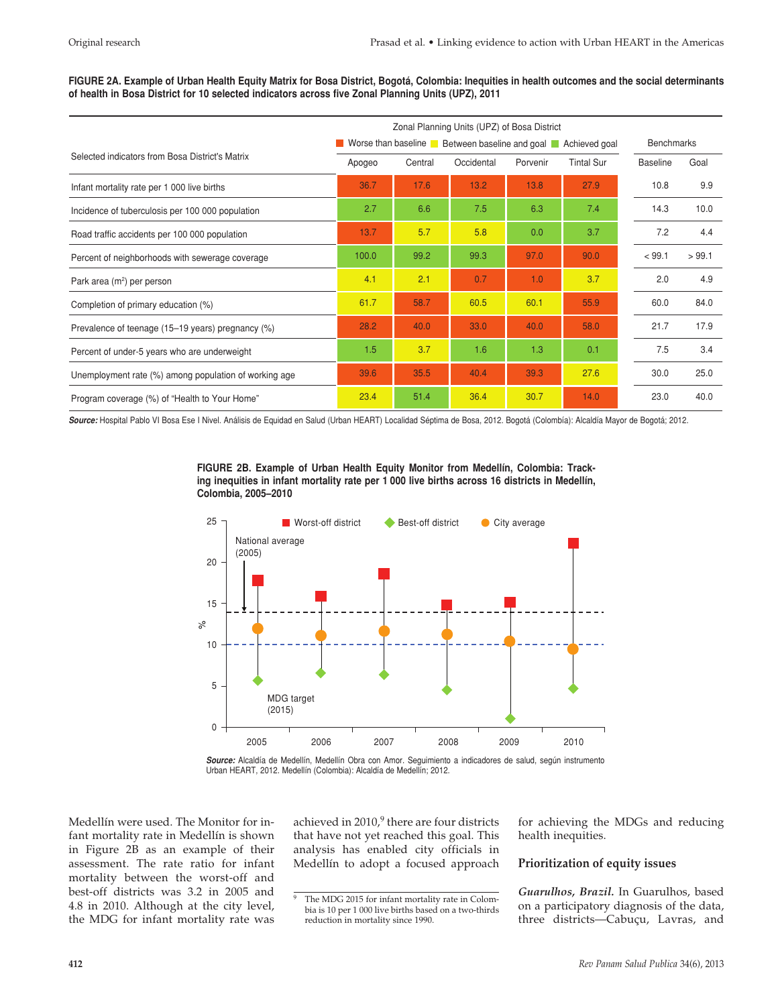**FIGURE 2A. Example of Urban Health Equity Matrix for Bosa District, Bogotá, Colombia: Inequities in health outcomes and the social determinants of health in Bosa District for 10 selected indicators across five Zonal Planning Units (UPZ), 2011**

|                                                       |                                                                |         | Zonal Planning Units (UPZ) of Bosa District |          |                   |                 |                   |  |
|-------------------------------------------------------|----------------------------------------------------------------|---------|---------------------------------------------|----------|-------------------|-----------------|-------------------|--|
|                                                       | Worse than baseline Between baseline and goal<br>Achieved goal |         |                                             |          |                   |                 | <b>Benchmarks</b> |  |
| Selected indicators from Bosa District's Matrix       | Apogeo                                                         | Central | Occidental                                  | Porvenir | <b>Tintal Sur</b> | <b>Baseline</b> | Goal              |  |
| Infant mortality rate per 1 000 live births           | 36.7                                                           | 17.6    | 13.2                                        | 13.8     | 27.9              | 10.8            | 9.9               |  |
| Incidence of tuberculosis per 100 000 population      | 2.7                                                            | 6.6     | 7.5                                         | 6.3      | 7.4               | 14.3            | 10.0              |  |
| Road traffic accidents per 100 000 population         | 13.7                                                           | 5.7     | 5.8                                         | 0.0      | 3.7               | 7.2             | 4.4               |  |
| Percent of neighborhoods with sewerage coverage       | 100.0                                                          | 99.2    | 99.3                                        | 97.0     | 90.0              | < 99.1          | > 99.1            |  |
| Park area (m <sup>2</sup> ) per person                | 4.1                                                            | 2.1     | 0.7                                         | 1.0      | 3.7               | 2.0             | 4.9               |  |
| Completion of primary education (%)                   | 61.7                                                           | 58.7    | 60.5                                        | 60.1     | 55.9              | 60.0            | 84.0              |  |
| Prevalence of teenage (15-19 years) pregnancy (%)     | 28.2                                                           | 40.0    | 33.0                                        | 40.0     | 58.0              | 21.7            | 17.9              |  |
| Percent of under-5 years who are underweight          | 1.5                                                            | 3.7     | 1.6                                         | 1.3      | 0.1               | 7.5             | 3.4               |  |
| Unemployment rate (%) among population of working age | 39.6                                                           | 35.5    | 40.4                                        | 39.3     | 27.6              | 30.0            | 25.0              |  |
| Program coverage (%) of "Health to Your Home"         | 23.4                                                           | 51.4    | 36.4                                        | 30.7     | 14.0              | 23.0            | 40.0              |  |

*Source:* Hospital Pablo VI Bosa Ese I Nivel. Análisis de Equidad en Salud (Urban HEART) Localidad Séptima de Bosa, 2012. Bogotá (Colombía): Alcaldía Mayor de Bogotá; 2012.



**FIGURE 2B. Example of Urban Health Equity Monitor from Medellín, Colombia: Tracking inequities in infant mortality rate per 1 000 live births across 16 districts in Medellín, Colombia, 2005–2010**

*Source:* Alcaldía de Medellín, Medellín Obra con Amor. Seguimiento a indicadores de salud, según instrumento Urban HEART, 2012. Medellín (Colombia): Alcaldía de Medellín; 2012.

Medellín were used. The Monitor for infant mortality rate in Medellín is shown in Figure 2B as an example of their assessment. The rate ratio for infant mortality between the worst-off and best-off districts was 3.2 in 2005 and 4.8 in 2010. Although at the city level, the MDG for infant mortality rate was

achieved in  $2010<sup>9</sup>$  there are four districts that have not yet reached this goal. This analysis has enabled city officials in Medellín to adopt a focused approach

<sup>9</sup> The MDG 2015 for infant mortality rate in Colombia is 10 per 1 000 live births based on a two-thirds reduction in mortality since 1990.

for achieving the MDGs and reducing health inequities.

#### **Prioritization of equity issues**

*Guarulhos, Brazil.* In Guarulhos, based on a participatory diagnosis of the data, three districts—Cabuçu, Lavras, and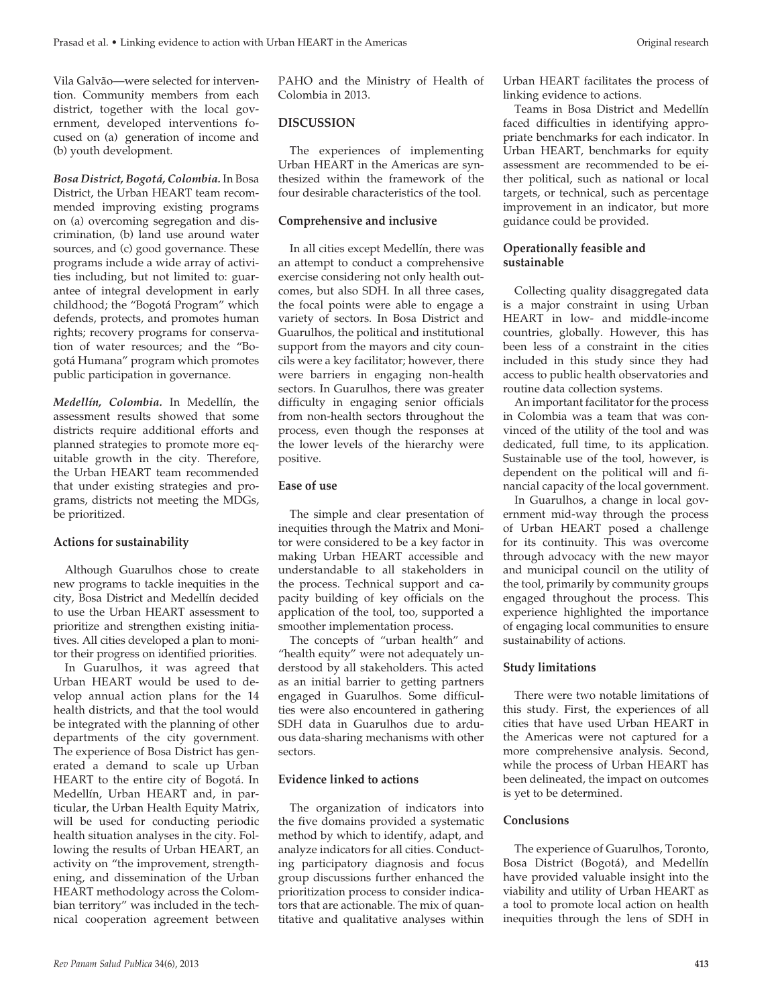Vila Galvão—were selected for intervention. Community members from each district, together with the local government, developed interventions focused on (a) generation of income and (b) youth development.

*Bosa District, Bogotá, Colombia.* In Bosa District, the Urban HEART team recommended improving existing programs on (a) overcoming segregation and discrimination, (b) land use around water sources, and (c) good governance. These programs include a wide array of activities including, but not limited to: guarantee of integral development in early childhood; the "Bogotá Program" which defends, protects, and promotes human rights; recovery programs for conservation of water resources; and the "Bogotá Humana" program which promotes public participation in governance.

*Medellín, Colombia.* In Medellín, the assessment results showed that some districts require additional efforts and planned strategies to promote more equitable growth in the city. Therefore, the Urban HEART team recommended that under existing strategies and programs, districts not meeting the MDGs, be prioritized.

## **Actions for sustainability**

Although Guarulhos chose to create new programs to tackle inequities in the city, Bosa District and Medellín decided to use the Urban HEART assessment to prioritize and strengthen existing initiatives. All cities developed a plan to monitor their progress on identified priorities.

In Guarulhos, it was agreed that Urban HEART would be used to develop annual action plans for the 14 health districts, and that the tool would be integrated with the planning of other departments of the city government. The experience of Bosa District has generated a demand to scale up Urban HEART to the entire city of Bogotá. In Medellín, Urban HEART and, in particular, the Urban Health Equity Matrix, will be used for conducting periodic health situation analyses in the city. Following the results of Urban HEART, an activity on "the improvement, strengthening, and dissemination of the Urban HEART methodology across the Colombian territory" was included in the technical cooperation agreement between

PAHO and the Ministry of Health of Colombia in 2013.

# **DISCUSSION**

The experiences of implementing Urban HEART in the Americas are synthesized within the framework of the four desirable characteristics of the tool.

## **Comprehensive and inclusive**

In all cities except Medellín, there was an attempt to conduct a comprehensive exercise considering not only health outcomes, but also SDH. In all three cases, the focal points were able to engage a variety of sectors. In Bosa District and Guarulhos, the political and institutional support from the mayors and city councils were a key facilitator; however, there were barriers in engaging non-health sectors. In Guarulhos, there was greater difficulty in engaging senior officials from non-health sectors throughout the process, even though the responses at the lower levels of the hierarchy were positive.

## **Ease of use**

The simple and clear presentation of inequities through the Matrix and Monitor were considered to be a key factor in making Urban HEART accessible and understandable to all stakeholders in the process. Technical support and capacity building of key officials on the application of the tool, too, supported a smoother implementation process.

The concepts of "urban health" and "health equity" were not adequately understood by all stakeholders. This acted as an initial barrier to getting partners engaged in Guarulhos. Some difficulties were also encountered in gathering SDH data in Guarulhos due to arduous data-sharing mechanisms with other sectors.

## **Evidence linked to actions**

The organization of indicators into the five domains provided a systematic method by which to identify, adapt, and analyze indicators for all cities. Conducting participatory diagnosis and focus group discussions further enhanced the prioritization process to consider indicators that are actionable. The mix of quantitative and qualitative analyses within

Urban HEART facilitates the process of linking evidence to actions.

Teams in Bosa District and Medellín faced difficulties in identifying appropriate benchmarks for each indicator. In Urban HEART, benchmarks for equity assessment are recommended to be either political, such as national or local targets, or technical, such as percentage improvement in an indicator, but more guidance could be provided.

## **Operationally feasible and sustainable**

Collecting quality disaggregated data is a major constraint in using Urban HEART in low- and middle-income countries, globally. However, this has been less of a constraint in the cities included in this study since they had access to public health observatories and routine data collection systems.

An important facilitator for the process in Colombia was a team that was convinced of the utility of the tool and was dedicated, full time, to its application. Sustainable use of the tool, however, is dependent on the political will and financial capacity of the local government.

In Guarulhos, a change in local government mid-way through the process of Urban HEART posed a challenge for its continuity. This was overcome through advocacy with the new mayor and municipal council on the utility of the tool, primarily by community groups engaged throughout the process. This experience highlighted the importance of engaging local communities to ensure sustainability of actions.

# **Study limitations**

There were two notable limitations of this study. First, the experiences of all cities that have used Urban HEART in the Americas were not captured for a more comprehensive analysis. Second, while the process of Urban HEART has been delineated, the impact on outcomes is yet to be determined.

## **Conclusions**

The experience of Guarulhos, Toronto, Bosa District (Bogotá), and Medellín have provided valuable insight into the viability and utility of Urban HEART as a tool to promote local action on health inequities through the lens of SDH in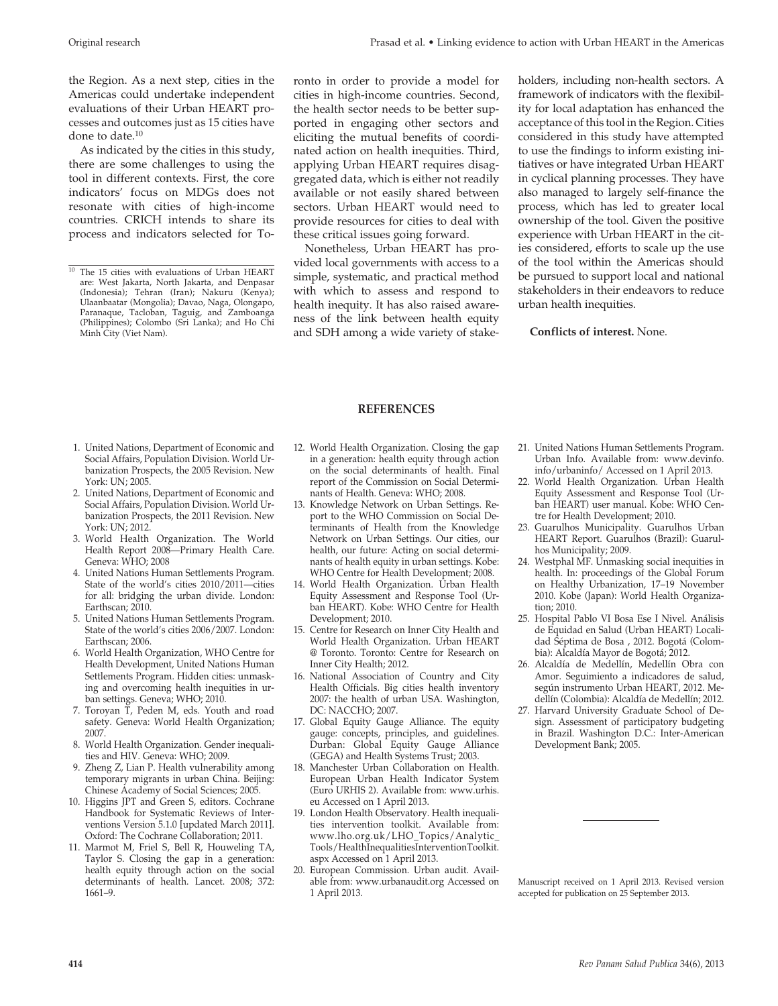the Region. As a next step, cities in the Americas could undertake independent evaluations of their Urban HEART processes and outcomes just as 15 cities have done to date.10

As indicated by the cities in this study, there are some challenges to using the tool in different contexts. First, the core indicators' focus on MDGs does not resonate with cities of high-income countries. CRICH intends to share its process and indicators selected for Toronto in order to provide a model for cities in high-income countries. Second, the health sector needs to be better supported in engaging other sectors and eliciting the mutual benefits of coordinated action on health inequities. Third, applying Urban HEART requires disaggregated data, which is either not readily available or not easily shared between sectors. Urban HEART would need to provide resources for cities to deal with these critical issues going forward.

Nonetheless, Urban HEART has provided local governments with access to a simple, systematic, and practical method with which to assess and respond to health inequity. It has also raised awareness of the link between health equity and SDH among a wide variety of stakeholders, including non-health sectors. A framework of indicators with the flexibility for local adaptation has enhanced the acceptance of this tool in the Region. Cities considered in this study have attempted to use the findings to inform existing initiatives or have integrated Urban HEART in cyclical planning processes. They have also managed to largely self-finance the process, which has led to greater local ownership of the tool. Given the positive experience with Urban HEART in the cities considered, efforts to scale up the use of the tool within the Americas should be pursued to support local and national stakeholders in their endeavors to reduce urban health inequities.

#### **Conflicts of interest.** None.

## **REFERENCES**

- 1. United Nations, Department of Economic and Social Affairs, Population Division. World Urbanization Prospects, the 2005 Revision. New York: UN; 2005.
- 2. United Nations, Department of Economic and Social Affairs, Population Division. World Urbanization Prospects, the 2011 Revision. New York: UN; 2012.
- 3. World Health Organization. The World Health Report 2008—Primary Health Care. Geneva: WHO; 2008
- 4. United Nations Human Settlements Program. State of the world's cities 2010/2011—cities for all: bridging the urban divide. London: Earthscan; 2010.
- 5. United Nations Human Settlements Program. State of the world's cities 2006/2007. London: Earthscan; 2006.
- 6. World Health Organization, WHO Centre for Health Development, United Nations Human Settlements Program. Hidden cities: unmasking and overcoming health inequities in urban settings. Geneva; WHO; 2010.
- 7. Toroyan T, Peden M, eds. Youth and road safety. Geneva: World Health Organization; 2007.
- 8. World Health Organization. Gender inequalities and HIV. Geneva: WHO; 2009.
- 9. Zheng Z, Lian P. Health vulnerability among temporary migrants in urban China. Beijing: Chinese Academy of Social Sciences; 2005.
- 10. Higgins JPT and Green S, editors. Cochrane Handbook for Systematic Reviews of Interventions Version 5.1.0 [updated March 2011]. Oxford: The Cochrane Collaboration; 2011.
- 11. Marmot M, Friel S, Bell R, Houweling TA, Taylor S. Closing the gap in a generation: health equity through action on the social determinants of health. Lancet. 2008; 372: 1661–9.
- 12. World Health Organization. Closing the gap in a generation: health equity through action on the social determinants of health. Final report of the Commission on Social Determinants of Health. Geneva: WHO; 2008.
- 13. Knowledge Network on Urban Settings. Report to the WHO Commission on Social Determinants of Health from the Knowledge Network on Urban Settings. Our cities, our health, our future: Acting on social determinants of health equity in urban settings. Kobe: WHO Centre for Health Development; 2008.
- 14. World Health Organization. Urban Health Equity Assessment and Response Tool (Urban HEART). Kobe: WHO Centre for Health Development; 2010.
- 15. Centre for Research on Inner City Health and World Health Organization. Urban HEART @ Toronto. Toronto: Centre for Research on Inner City Health; 2012.
- 16. National Association of Country and City Health Officials. Big cities health inventory 2007: the health of urban USA. Washington, DC: NACCHO; 2007.
- 17. Global Equity Gauge Alliance. The equity gauge: concepts, principles, and guidelines. Durban: Global Equity Gauge Alliance (GEGA) and Health Systems Trust; 2003.
- 18. Manchester Urban Collaboration on Health. European Urban Health Indicator System (Euro URHIS 2). Available from: www.urhis. eu Accessed on 1 April 2013.
- 19. London Health Observatory. Health inequalities intervention toolkit. Available from: www.lho.org.uk/LHO\_Topics/Analytic\_ Tools/HealthInequalitiesInterventionToolkit. aspx Accessed on 1 April 2013.
- 20. European Commission. Urban audit. Available from: www.urbanaudit.org Accessed on 1 April 2013.
- 21. United Nations Human Settlements Program. Urban Info. Available from: www.devinfo. info/urbaninfo/ Accessed on 1 April 2013.
- 22. World Health Organization. Urban Health Equity Assessment and Response Tool (Urban HEART) user manual. Kobe: WHO Centre for Health Development; 2010.
- 23. Guarulhos Municipality. Guarulhos Urban HEART Report. Guarulhos (Brazil): Guarulhos Municipality; 2009.
- 24. Westphal MF. Unmasking social inequities in health. In: proceedings of the Global Forum on Healthy Urbanization, 17–19 November 2010. Kobe (Japan): World Health Organization; 2010.
- 25. Hospital Pablo VI Bosa Ese I Nivel. Análisis de Equidad en Salud (Urban HEART) Localidad Séptima de Bosa , 2012. Bogotá (Colombia): Alcaldía Mayor de Bogotá; 2012.
- 26. Alcaldía de Medellín, Medellín Obra con Amor. Seguimiento a indicadores de salud, según instrumento Urban HEART, 2012. Medellín (Colombia): Alcaldía de Medellín; 2012.
- 27. Harvard University Graduate School of Design. Assessment of participatory budgeting in Brazil. Washington D.C.: Inter-American Development Bank; 2005.

Manuscript received on 1 April 2013. Revised version accepted for publication on 25 September 2013.

<sup>&</sup>lt;sup>10</sup> The 15 cities with evaluations of Urban HEART are: West Jakarta, North Jakarta, and Denpasar (Indonesia); Tehran (Iran); Nakuru (Kenya); Ulaanbaatar (Mongolia); Davao, Naga, Olongapo, Paranaque, Tacloban, Taguig, and Zamboanga (Philippines); Colombo (Sri Lanka); and Ho Chi Minh City (Viet Nam).